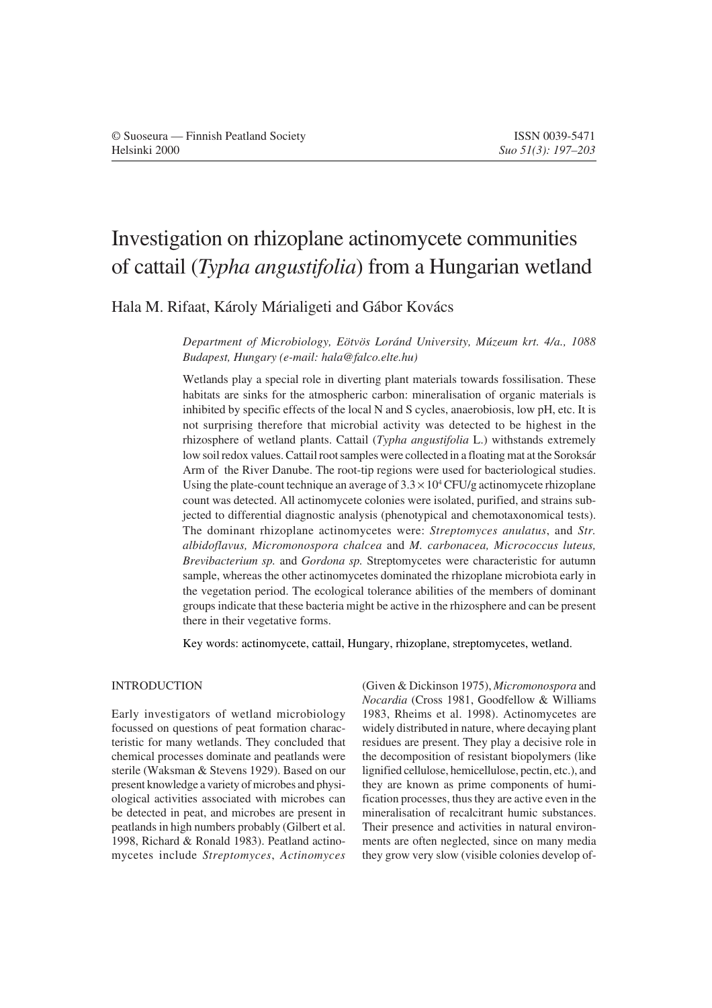# Investigation on rhizoplane actinomycete communities of cattail (*Typha angustifolia*) from a Hungarian wetland

Hala M. Rifaat, Károly Márialigeti and Gábor Kovács

*Department of Microbiology, Eötvös Loránd University, Múzeum krt. 4/a., 1088 Budapest, Hungary (e-mail: hala@falco.elte.hu)*

Wetlands play a special role in diverting plant materials towards fossilisation. These habitats are sinks for the atmospheric carbon: mineralisation of organic materials is inhibited by specific effects of the local N and S cycles, anaerobiosis, low pH, etc. It is not surprising therefore that microbial activity was detected to be highest in the rhizosphere of wetland plants. Cattail (*Typha angustifolia* L.) withstands extremely low soil redox values. Cattail root samples were collected in a floating mat at the Soroksár Arm of the River Danube. The root-tip regions were used for bacteriological studies. Using the plate-count technique an average of  $3.3 \times 10^4$  CFU/g actinomycete rhizoplane count was detected. All actinomycete colonies were isolated, purified, and strains subjected to differential diagnostic analysis (phenotypical and chemotaxonomical tests). The dominant rhizoplane actinomycetes were: *Streptomyces anulatus*, and *Str. albidoflavus, Micromonospora chalcea* and *M. carbonacea, Micrococcus luteus, Brevibacterium sp.* and *Gordona sp.* Streptomycetes were characteristic for autumn sample, whereas the other actinomycetes dominated the rhizoplane microbiota early in the vegetation period. The ecological tolerance abilities of the members of dominant groups indicate that these bacteria might be active in the rhizosphere and can be present there in their vegetative forms.

Key words: actinomycete, cattail, Hungary, rhizoplane, streptomycetes, wetland.

## INTRODUCTION

Early investigators of wetland microbiology focussed on questions of peat formation characteristic for many wetlands. They concluded that chemical processes dominate and peatlands were sterile (Waksman & Stevens 1929). Based on our present knowledge a variety of microbes and physiological activities associated with microbes can be detected in peat, and microbes are present in peatlands in high numbers probably (Gilbert et al. 1998, Richard & Ronald 1983). Peatland actinomycetes include *Streptomyces*, *Actinomyces* (Given & Dickinson 1975), *Micromonospora* and *Nocardia* (Cross 1981, Goodfellow & Williams 1983, Rheims et al. 1998). Actinomycetes are widely distributed in nature, where decaying plant residues are present. They play a decisive role in the decomposition of resistant biopolymers (like lignified cellulose, hemicellulose, pectin, etc.), and they are known as prime components of humification processes, thus they are active even in the mineralisation of recalcitrant humic substances. Their presence and activities in natural environments are often neglected, since on many media they grow very slow (visible colonies develop of-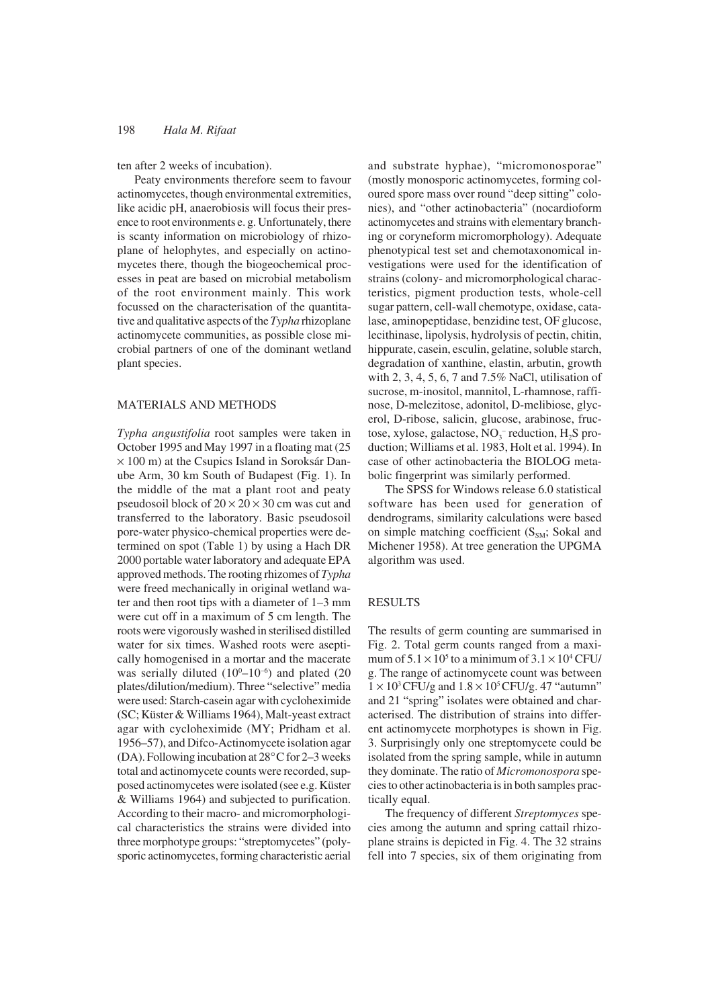### 198 *Hala M. Rifaat*

## ten after 2 weeks of incubation).

Peaty environments therefore seem to favour actinomycetes, though environmental extremities, like acidic pH, anaerobiosis will focus their presence to root environments e. g. Unfortunately, there is scanty information on microbiology of rhizoplane of helophytes, and especially on actinomycetes there, though the biogeochemical processes in peat are based on microbial metabolism of the root environment mainly. This work focussed on the characterisation of the quantitative and qualitative aspects of the *Typha* rhizoplane actinomycete communities, as possible close microbial partners of one of the dominant wetland plant species.

#### MATERIALS AND METHODS

*Typha angustifolia* root samples were taken in October 1995 and May 1997 in a floating mat (25 × 100 m) at the Csupics Island in Soroksár Danube Arm, 30 km South of Budapest (Fig. 1). In the middle of the mat a plant root and peaty pseudosoil block of  $20 \times 20 \times 30$  cm was cut and transferred to the laboratory. Basic pseudosoil pore-water physico-chemical properties were determined on spot (Table 1) by using a Hach DR 2000 portable water laboratory and adequate EPA approved methods. The rooting rhizomes of *Typha* were freed mechanically in original wetland water and then root tips with a diameter of 1–3 mm were cut off in a maximum of 5 cm length. The roots were vigorously washed in sterilised distilled water for six times. Washed roots were aseptically homogenised in a mortar and the macerate was serially diluted  $(10^0 - 10^{-6})$  and plated  $(20)$ plates/dilution/medium). Three "selective" media were used: Starch-casein agar with cycloheximide (SC; Küster & Williams 1964), Malt-yeast extract agar with cycloheximide (MY; Pridham et al. 1956–57), and Difco-Actinomycete isolation agar (DA). Following incubation at 28°C for 2–3 weeks total and actinomycete counts were recorded, supposed actinomycetes were isolated (see e.g. Küster & Williams 1964) and subjected to purification. According to their macro- and micromorphological characteristics the strains were divided into three morphotype groups: "streptomycetes" (polysporic actinomycetes, forming characteristic aerial

and substrate hyphae), "micromonosporae" (mostly monosporic actinomycetes, forming coloured spore mass over round "deep sitting" colonies), and "other actinobacteria" (nocardioform actinomycetes and strains with elementary branching or coryneform micromorphology). Adequate phenotypical test set and chemotaxonomical investigations were used for the identification of strains (colony- and micromorphological characteristics, pigment production tests, whole-cell sugar pattern, cell-wall chemotype, oxidase, catalase, aminopeptidase, benzidine test, OF glucose, lecithinase, lipolysis, hydrolysis of pectin, chitin, hippurate, casein, esculin, gelatine, soluble starch, degradation of xanthine, elastin, arbutin, growth with 2, 3, 4, 5, 6, 7 and 7.5% NaCl, utilisation of sucrose, m-inositol, mannitol, L-rhamnose, raffinose, D-melezitose, adonitol, D-melibiose, glycerol, D-ribose, salicin, glucose, arabinose, fructose, xylose, galactose,  $NO_3^-$  reduction,  $H_2S$  production; Williams et al. 1983, Holt et al. 1994). In case of other actinobacteria the BIOLOG metabolic fingerprint was similarly performed.

The SPSS for Windows release 6.0 statistical software has been used for generation of dendrograms, similarity calculations were based on simple matching coefficient  $(S_{SM}; Sokal$  and Michener 1958). At tree generation the UPGMA algorithm was used.

#### RESULTS

The results of germ counting are summarised in Fig. 2. Total germ counts ranged from a maximum of  $5.1 \times 10^5$  to a minimum of  $3.1 \times 10^4$  CFU/ g. The range of actinomycete count was between  $1 \times 10^3$  CFU/g and  $1.8 \times 10^5$  CFU/g. 47 "autumn" and 21 "spring" isolates were obtained and characterised. The distribution of strains into different actinomycete morphotypes is shown in Fig. 3. Surprisingly only one streptomycete could be isolated from the spring sample, while in autumn they dominate. The ratio of *Micromonospora* species to other actinobacteria is in both samples practically equal.

The frequency of different *Streptomyces* species among the autumn and spring cattail rhizoplane strains is depicted in Fig. 4. The 32 strains fell into 7 species, six of them originating from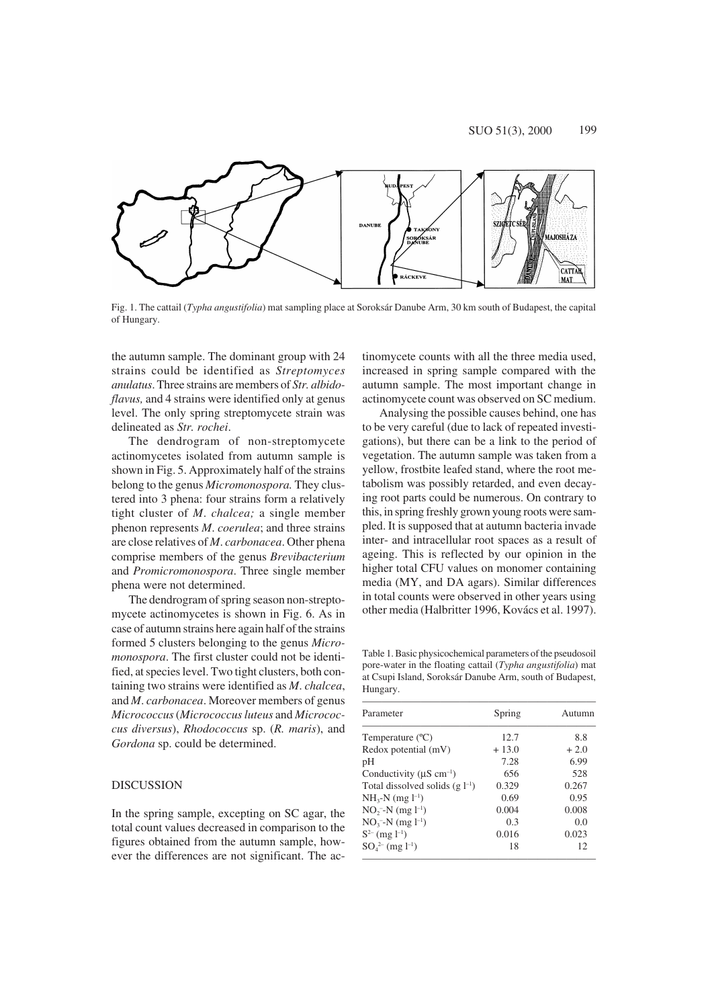

Fig. 1. The cattail (*Typha angustifolia*) mat sampling place at Soroksár Danube Arm, 30 km south of Budapest, the capital of Hungary.

the autumn sample. The dominant group with 24 strains could be identified as *Streptomyces anulatus*. Three strains are members of *Str. albidoflavus,* and 4 strains were identified only at genus level. The only spring streptomycete strain was delineated as *Str. rochei*.

The dendrogram of non-streptomycete actinomycetes isolated from autumn sample is shown in Fig. 5. Approximately half of the strains belong to the genus *Micromonospora.* They clustered into 3 phena: four strains form a relatively tight cluster of *M*. *chalcea;* a single member phenon represents *M*. *coerulea*; and three strains are close relatives of *M*. *carbonacea*. Other phena comprise members of the genus *Brevibacterium* and *Promicromonospora*. Three single member phena were not determined.

The dendrogram of spring season non-streptomycete actinomycetes is shown in Fig. 6. As in case of autumn strains here again half of the strains formed 5 clusters belonging to the genus *Micromonospora*. The first cluster could not be identified, at species level. Two tight clusters, both containing two strains were identified as *M*. *chalcea*, and *M*. *carbonacea*. Moreover members of genus *Micrococcus* (*Micrococcus luteus* and *Micrococcus diversus*), *Rhodococcus* sp. (*R. maris*), and *Gordona* sp. could be determined.

## **DISCUSSION**

In the spring sample, excepting on SC agar, the total count values decreased in comparison to the figures obtained from the autumn sample, however the differences are not significant. The actinomycete counts with all the three media used, increased in spring sample compared with the autumn sample. The most important change in actinomycete count was observed on SC medium.

Analysing the possible causes behind, one has to be very careful (due to lack of repeated investigations), but there can be a link to the period of vegetation. The autumn sample was taken from a yellow, frostbite leafed stand, where the root metabolism was possibly retarded, and even decaying root parts could be numerous. On contrary to this, in spring freshly grown young roots were sampled. It is supposed that at autumn bacteria invade inter- and intracellular root spaces as a result of ageing. This is reflected by our opinion in the higher total CFU values on monomer containing media (MY, and DA agars). Similar differences in total counts were observed in other years using other media (Halbritter 1996, Kovács et al. 1997).

Table 1. Basic physicochemical parameters of the pseudosoil pore-water in the floating cattail (*Typha angustifolia*) mat at Csupi Island, Soroksár Danube Arm, south of Budapest, Hungary.

| Parameter                                 | Spring  | Autumn |
|-------------------------------------------|---------|--------|
| Temperature $(^{\circ}C)$                 | 12.7    | 8.8    |
| Redox potential (mV)                      | $+13.0$ | $+2.0$ |
| pH                                        | 7.28    | 6.99   |
| Conductivity ( $\mu$ S cm <sup>-1</sup> ) | 656     | 528    |
| Total dissolved solids $(g l^{-1})$       | 0.329   | 0.267  |
| $NH3-N$ (mg $l-1$ )                       | 0.69    | 0.95   |
| $NO_2$ <sup>-</sup> -N (mg $l^{-1}$ )     | 0.004   | 0.008  |
| $NO_3$ <sup>-</sup> -N (mg $l^{-1}$ )     | 0.3     | 0.0    |
| $S^{2-}$ (mg $l^{-1}$ )                   | 0.016   | 0.023  |
| $SO_4^{2-}$ (mg l <sup>-1</sup> )         | 18      | 12     |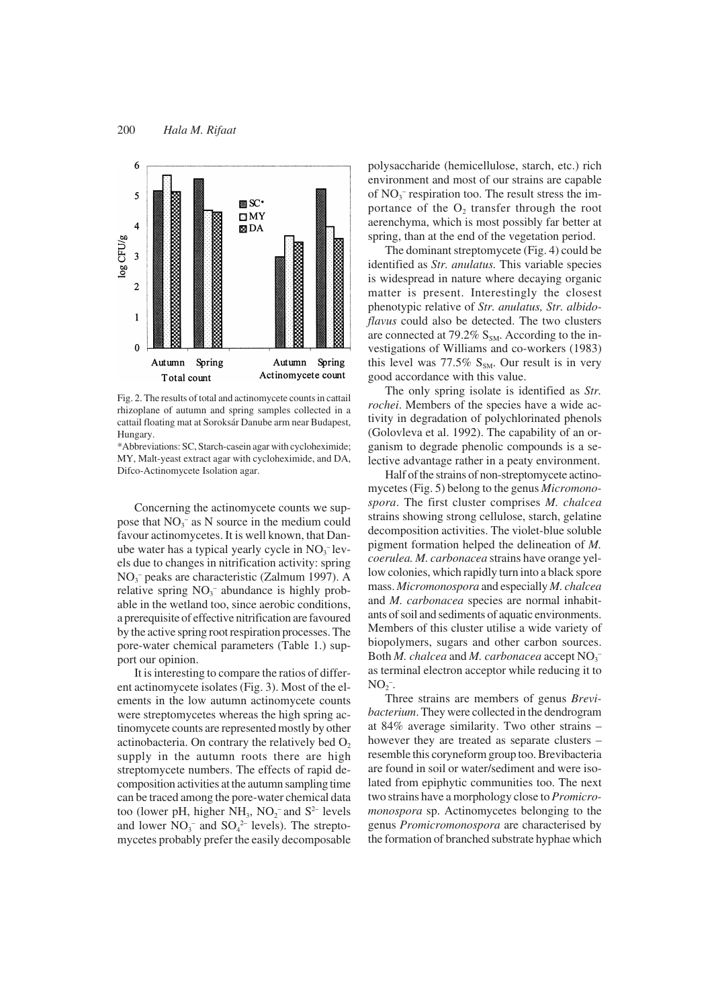

Fig. 2. The results of total and actinomycete counts in cattail rhizoplane of autumn and spring samples collected in a cattail floating mat at Soroksár Danube arm near Budapest, Hungary.

\*Abbreviations: SC, Starch-casein agar with cycloheximide; MY, Malt-yeast extract agar with cycloheximide, and DA, Difco-Actinomycete Isolation agar.

Concerning the actinomycete counts we suppose that  $NO_3^-$  as N source in the medium could favour actinomycetes. It is well known, that Danube water has a typical yearly cycle in  $NO<sub>3</sub><sup>-</sup>$  levels due to changes in nitrification activity: spring NO3 – peaks are characteristic (Zalmum 1997). A relative spring  $NO_3^-$  abundance is highly probable in the wetland too, since aerobic conditions, a prerequisite of effective nitrification are favoured by the active spring root respiration processes. The pore-water chemical parameters (Table 1.) support our opinion.

It is interesting to compare the ratios of different actinomycete isolates (Fig. 3). Most of the elements in the low autumn actinomycete counts were streptomycetes whereas the high spring actinomycete counts are represented mostly by other actinobacteria. On contrary the relatively bed  $O<sub>2</sub>$ supply in the autumn roots there are high streptomycete numbers. The effects of rapid decomposition activities at the autumn sampling time can be traced among the pore-water chemical data too (lower pH, higher  $NH_3$ ,  $NO_2^-$  and  $S^2$ - levels and lower  $NO_3^-$  and  $SO_4^{2-}$  levels). The streptomycetes probably prefer the easily decomposable

polysaccharide (hemicellulose, starch, etc.) rich environment and most of our strains are capable of  $NO<sub>3</sub>$ <sup>-</sup> respiration too. The result stress the importance of the  $O<sub>2</sub>$  transfer through the root aerenchyma, which is most possibly far better at spring, than at the end of the vegetation period.

The dominant streptomycete (Fig. 4) could be identified as *Str. anulatus.* This variable species is widespread in nature where decaying organic matter is present. Interestingly the closest phenotypic relative of *Str. anulatus, Str. albidoflavus* could also be detected. The two clusters are connected at 79.2%  $S<sub>SM</sub>$ . According to the investigations of Williams and co-workers (1983) this level was  $77.5\%$  S<sub>SM</sub>. Our result is in very good accordance with this value.

The only spring isolate is identified as *Str. rochei*. Members of the species have a wide activity in degradation of polychlorinated phenols (Golovleva et al. 1992). The capability of an organism to degrade phenolic compounds is a selective advantage rather in a peaty environment.

Half of the strains of non-streptomycete actinomycetes (Fig. 5) belong to the genus *Micromonospora*. The first cluster comprises *M. chalcea* strains showing strong cellulose, starch, gelatine decomposition activities. The violet-blue soluble pigment formation helped the delineation of *M. coerulea. M. carbonacea* strains have orange yellow colonies, which rapidly turn into a black spore mass. *Micromonospora* and especially *M. chalcea* and *M. carbonacea* species are normal inhabitants of soil and sediments of aquatic environments. Members of this cluster utilise a wide variety of biopolymers, sugars and other carbon sources. Both *M. chalcea* and *M. carbonacea* accept  $NO_3^$ as terminal electron acceptor while reducing it to  $NO<sub>2</sub><sup>-</sup>$ .

Three strains are members of genus *Brevibacterium*. They were collected in the dendrogram at 84% average similarity. Two other strains – however they are treated as separate clusters – resemble this coryneform group too. Brevibacteria are found in soil or water/sediment and were isolated from epiphytic communities too. The next two strains have a morphology close to *Promicromonospora* sp. Actinomycetes belonging to the genus *Promicromonospora* are characterised by the formation of branched substrate hyphae which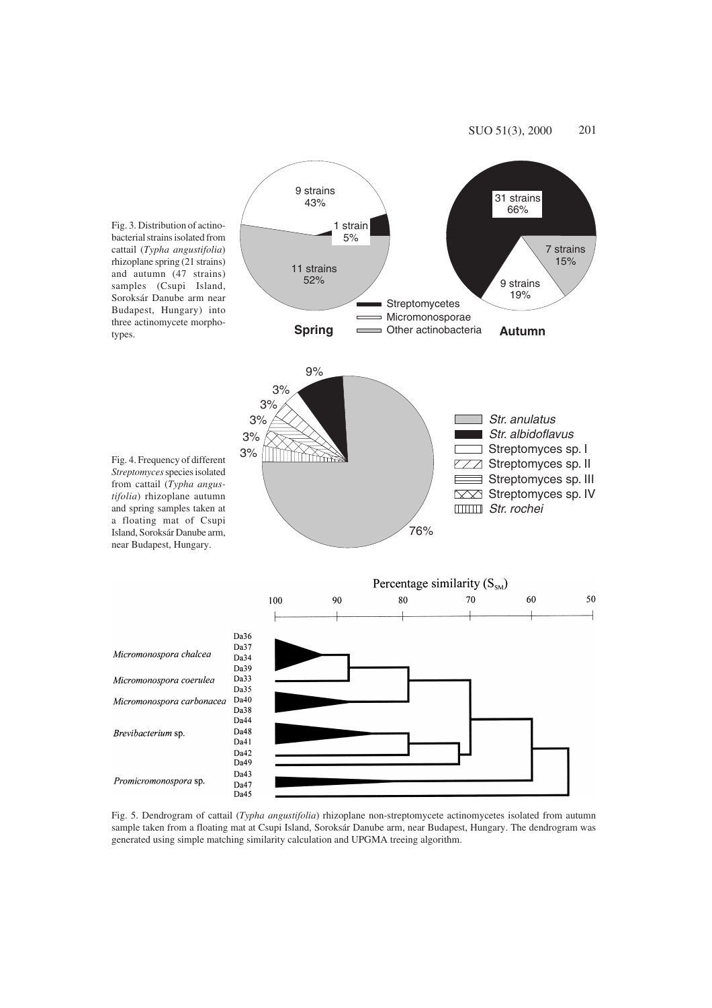

Fig. 5. Dendrogram of cattail (*Typha angustifolia*) rhizoplane non-streptomycete actinomycetes isolated from autumn sample taken from a floating mat at Csupi Island, Soroksár Danube arm, near Budapest, Hungary. The dendrogram was generated using simple matching similarity calculation and UPGMA treeing algorithm.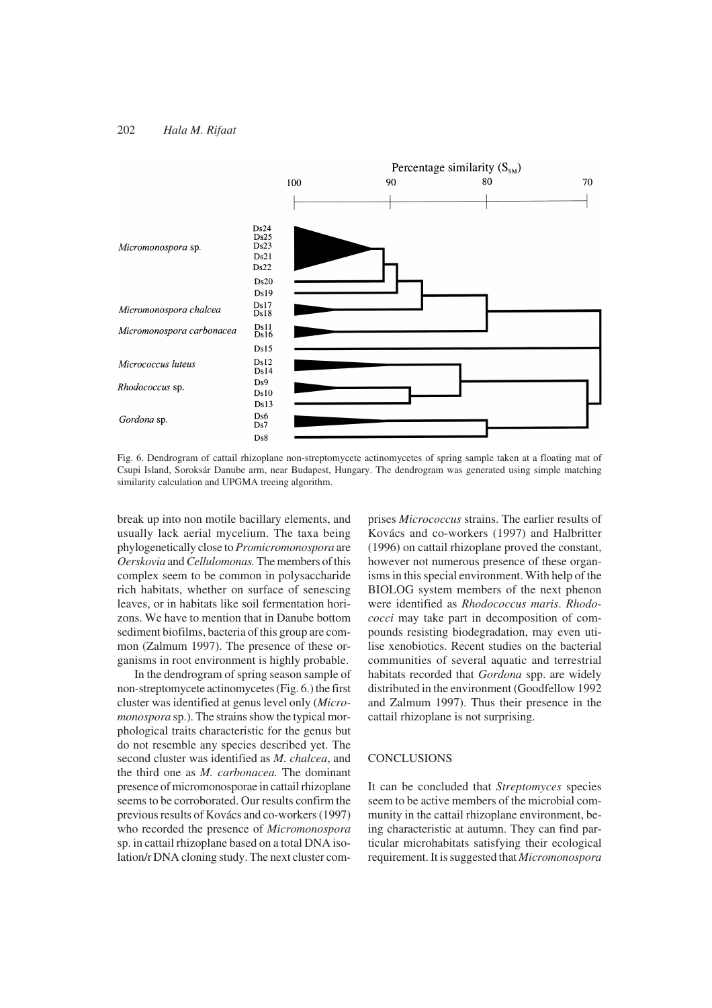#### 202 *Hala M. Rifaat*



Fig. 6. Dendrogram of cattail rhizoplane non-streptomycete actinomycetes of spring sample taken at a floating mat of Csupi Island, Soroksár Danube arm, near Budapest, Hungary. The dendrogram was generated using simple matching similarity calculation and UPGMA treeing algorithm.

break up into non motile bacillary elements, and usually lack aerial mycelium. The taxa being phylogenetically close to *Promicromonospora* are *Oerskovia* and *Cellulomonas.* The members of this complex seem to be common in polysaccharide rich habitats, whether on surface of senescing leaves, or in habitats like soil fermentation horizons. We have to mention that in Danube bottom sediment biofilms, bacteria of this group are common (Zalmum 1997). The presence of these organisms in root environment is highly probable.

In the dendrogram of spring season sample of non-streptomycete actinomycetes (Fig. 6.) the first cluster was identified at genus level only (*Micromonospora* sp.). The strains show the typical morphological traits characteristic for the genus but do not resemble any species described yet. The second cluster was identified as *M. chalcea*, and the third one as *M. carbonacea.* The dominant presence of micromonosporae in cattail rhizoplane seems to be corroborated. Our results confirm the previous results of Kovács and co-workers (1997) who recorded the presence of *Micromonospora* sp. in cattail rhizoplane based on a total DNA isolation/r DNA cloning study. The next cluster comprises *Micrococcus* strains. The earlier results of Kovács and co-workers (1997) and Halbritter (1996) on cattail rhizoplane proved the constant, however not numerous presence of these organisms in this special environment. With help of the BIOLOG system members of the next phenon were identified as *Rhodococcus maris*. *Rhodococci* may take part in decomposition of compounds resisting biodegradation, may even utilise xenobiotics. Recent studies on the bacterial communities of several aquatic and terrestrial habitats recorded that *Gordona* spp. are widely distributed in the environment (Goodfellow 1992 and Zalmum 1997). Thus their presence in the cattail rhizoplane is not surprising.

#### CONCLUSIONS

It can be concluded that *Streptomyces* species seem to be active members of the microbial community in the cattail rhizoplane environment, being characteristic at autumn. They can find particular microhabitats satisfying their ecological requirement. It is suggested that *Micromonospora*